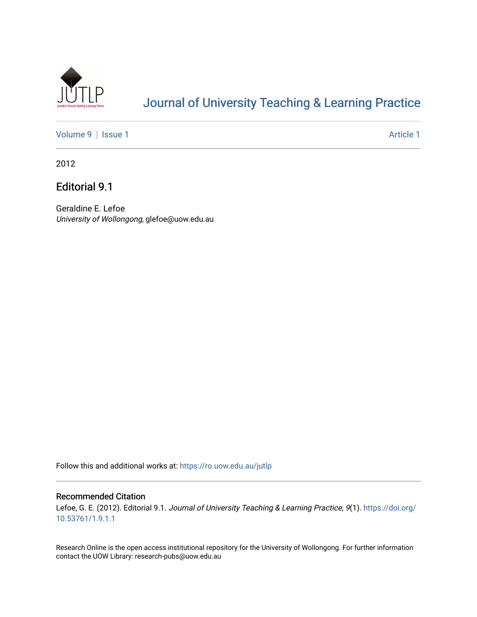

## [Journal of University Teaching & Learning Practice](https://ro.uow.edu.au/jutlp)

[Volume 9](https://ro.uow.edu.au/jutlp/vol9) | [Issue 1](https://ro.uow.edu.au/jutlp/vol9/iss1) Article 1

2012

Editorial 9.1

Geraldine E. Lefoe University of Wollongong, glefoe@uow.edu.au

Follow this and additional works at: [https://ro.uow.edu.au/jutlp](https://ro.uow.edu.au/jutlp?utm_source=ro.uow.edu.au%2Fjutlp%2Fvol9%2Fiss1%2F1&utm_medium=PDF&utm_campaign=PDFCoverPages) 

#### Recommended Citation

Lefoe, G. E. (2012). Editorial 9.1. Journal of University Teaching & Learning Practice, 9(1). [https://doi.org/](https://doi.org/10.53761/1.9.1.1) [10.53761/1.9.1.1](https://doi.org/10.53761/1.9.1.1)

Research Online is the open access institutional repository for the University of Wollongong. For further information contact the UOW Library: research-pubs@uow.edu.au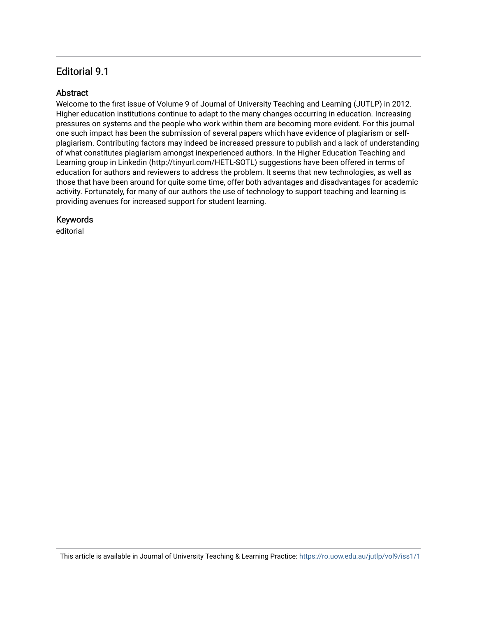### Editorial 9.1

### **Abstract**

Welcome to the first issue of Volume 9 of Journal of University Teaching and Learning (JUTLP) in 2012. Higher education institutions continue to adapt to the many changes occurring in education. Increasing pressures on systems and the people who work within them are becoming more evident. For this journal one such impact has been the submission of several papers which have evidence of plagiarism or selfplagiarism. Contributing factors may indeed be increased pressure to publish and a lack of understanding of what constitutes plagiarism amongst inexperienced authors. In the Higher Education Teaching and Learning group in Linkedin (http://tinyurl.com/HETL-SOTL) suggestions have been offered in terms of education for authors and reviewers to address the problem. It seems that new technologies, as well as those that have been around for quite some time, offer both advantages and disadvantages for academic activity. Fortunately, for many of our authors the use of technology to support teaching and learning is providing avenues for increased support for student learning.

### Keywords

editorial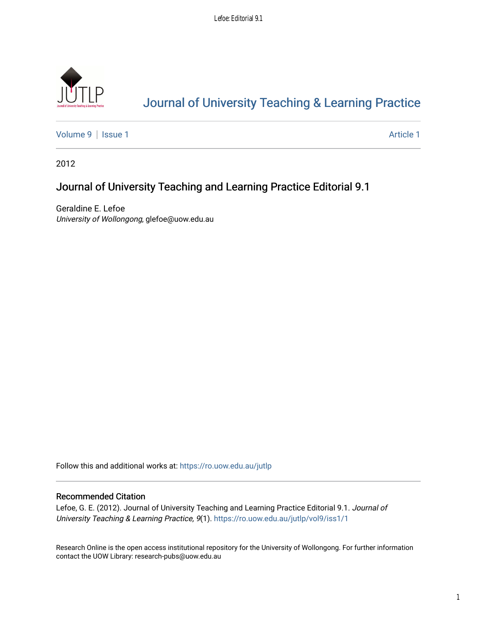

# [Journal of University Teaching & Learning Practice](https://ro.uow.edu.au/jutlp)

[Volume 9](https://ro.uow.edu.au/jutlp/vol9) | [Issue 1](https://ro.uow.edu.au/jutlp/vol9/iss1) Article 1

2012

## Journal of University Teaching and Learning Practice Editorial 9.1

Geraldine E. Lefoe University of Wollongong, glefoe@uow.edu.au

Follow this and additional works at: [https://ro.uow.edu.au/jutlp](https://ro.uow.edu.au/jutlp?utm_source=ro.uow.edu.au%2Fjutlp%2Fvol9%2Fiss1%2F1&utm_medium=PDF&utm_campaign=PDFCoverPages) 

### Recommended Citation

Lefoe, G. E. (2012). Journal of University Teaching and Learning Practice Editorial 9.1. Journal of University Teaching & Learning Practice, 9(1). [https://ro.uow.edu.au/jutlp/vol9/iss1/1](https://ro.uow.edu.au/jutlp/vol9/iss1/1?utm_source=ro.uow.edu.au%2Fjutlp%2Fvol9%2Fiss1%2F1&utm_medium=PDF&utm_campaign=PDFCoverPages) 

Research Online is the open access institutional repository for the University of Wollongong. For further information contact the UOW Library: research-pubs@uow.edu.au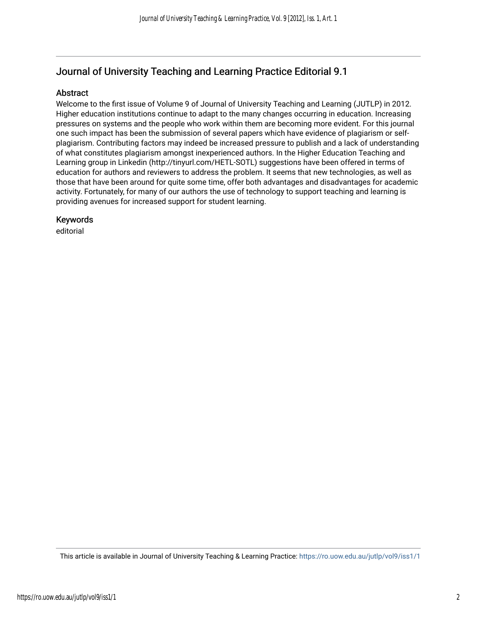### Journal of University Teaching and Learning Practice Editorial 9.1

### Abstract

Welcome to the first issue of Volume 9 of Journal of University Teaching and Learning (JUTLP) in 2012. Higher education institutions continue to adapt to the many changes occurring in education. Increasing pressures on systems and the people who work within them are becoming more evident. For this journal one such impact has been the submission of several papers which have evidence of plagiarism or selfplagiarism. Contributing factors may indeed be increased pressure to publish and a lack of understanding of what constitutes plagiarism amongst inexperienced authors. In the Higher Education Teaching and Learning group in Linkedin (http://tinyurl.com/HETL-SOTL) suggestions have been offered in terms of education for authors and reviewers to address the problem. It seems that new technologies, as well as those that have been around for quite some time, offer both advantages and disadvantages for academic activity. Fortunately, for many of our authors the use of technology to support teaching and learning is providing avenues for increased support for student learning.

#### Keywords

editorial

This article is available in Journal of University Teaching & Learning Practice:<https://ro.uow.edu.au/jutlp/vol9/iss1/1>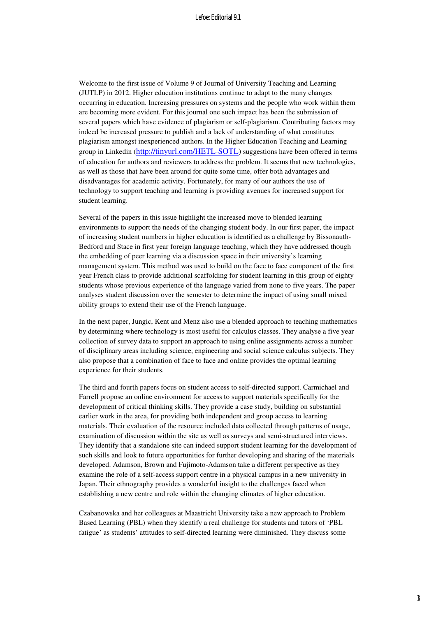#### Lefoe: Editorial 9.1

Welcome to the first issue of Volume 9 of Journal of University Teaching and Learning (JUTLP) in 2012. Higher education institutions continue to adapt to the many changes occurring in education. Increasing pressures on systems and the people who work within them are becoming more evident. For this journal one such impact has been the submission of several papers which have evidence of plagiarism or self-plagiarism. Contributing factors may indeed be increased pressure to publish and a lack of understanding of what constitutes plagiarism amongst inexperienced authors. In the Higher Education Teaching and Learning group in Linkedin (http://tinyurl.com/HETL-SOTL) suggestions have been offered in terms of education for authors and reviewers to address the problem. It seems that new technologies, as well as those that have been around for quite some time, offer both advantages and disadvantages for academic activity. Fortunately, for many of our authors the use of technology to support teaching and learning is providing avenues for increased support for student learning.

Several of the papers in this issue highlight the increased move to blended learning environments to support the needs of the changing student body. In our first paper, the impact of increasing student numbers in higher education is identified as a challenge by Bissonauth-Bedford and Stace in first year foreign language teaching, which they have addressed though the embedding of peer learning via a discussion space in their university's learning management system. This method was used to build on the face to face component of the first year French class to provide additional scaffolding for student learning in this group of eighty students whose previous experience of the language varied from none to five years. The paper analyses student discussion over the semester to determine the impact of using small mixed ability groups to extend their use of the French language.

In the next paper, Jungic, Kent and Menz also use a blended approach to teaching mathematics by determining where technology is most useful for calculus classes. They analyse a five year collection of survey data to support an approach to using online assignments across a number of disciplinary areas including science, engineering and social science calculus subjects. They also propose that a combination of face to face and online provides the optimal learning experience for their students.

The third and fourth papers focus on student access to self-directed support. Carmichael and Farrell propose an online environment for access to support materials specifically for the development of critical thinking skills. They provide a case study, building on substantial earlier work in the area, for providing both independent and group access to learning materials. Their evaluation of the resource included data collected through patterns of usage, examination of discussion within the site as well as surveys and semi-structured interviews. They identify that a standalone site can indeed support student learning for the development of such skills and look to future opportunities for further developing and sharing of the materials developed. Adamson, Brown and Fujimoto-Adamson take a different perspective as they examine the role of a self-access support centre in a physical campus in a new university in Japan. Their ethnography provides a wonderful insight to the challenges faced when establishing a new centre and role within the changing climates of higher education.

Czabanowska and her colleagues at Maastricht University take a new approach to Problem Based Learning (PBL) when they identify a real challenge for students and tutors of 'PBL fatigue' as students' attitudes to self-directed learning were diminished. They discuss some